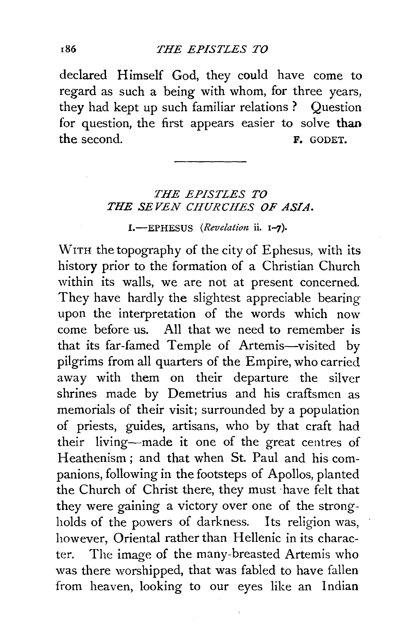declared Himself God, they could have come to regard as such a being with whom, for three years, they had kept up such familiar relations ? Question for question, the first appears easier to solve than the second. F. GODET.

## *THE EPISTLES TO THE SEVEN CHURCHES OF ASIA.*

1.-EPHESUS (Revelation ii. 1-7).

WITH the topography of the city of Ephesus, with its history prior to the formation of a Christian Church within its walls, we are not at present concerned. They have hardly the slightest appreciable bearing upon the interpretation of the words which now come before us. All that we need to remember is that its far-famed Temple of Artemis-visited by pilgrims from all quarters of the Empire, who carried away with them on their departure the silver shrines made by Demetrius and his craftsmen as memorials of their visit; surrounded by a population of priests, guides, artisans, who by that craft had their living-made it one of the great centres of Heathenism ; and that when St. Paul and his companions, following in the footsteps of Apollos, planted the Church of Christ there, they must ·have felt that they were gaining a victory over one of the strongholds of the powers of darkness. Its religion was, however, Oriental rather than Hellenic in its character. The image of the many-breasted Artemis who was there worshipped, that was fabled to have fallen from heaven, looking to our eyes like an Indian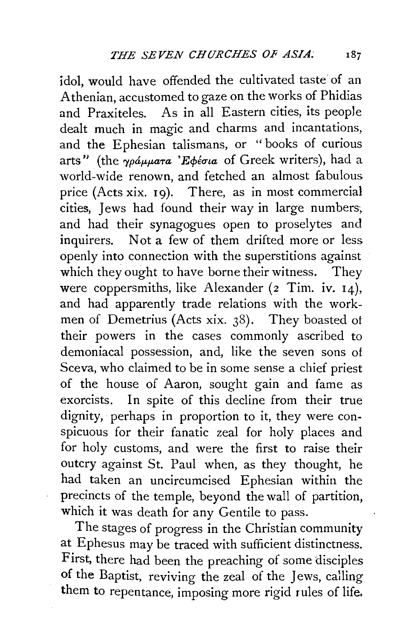idol, would have offended the cultivated taste of an Athenian, accustomed to gaze on the works of Phidias and Praxiteles. As in all Eastern cities, its people dealt much in magic and charms and incantations, and the Ephesian talismans, or "books of curious arts" (the *γράμματα* 'Εφέσια of Greek writers), had a world-wide renown, and fetched an almost fabulous price (Acts xix. 19). There, as in most commercial cities, Jews had found their way in large numbers, and had their synagogues open to proselytes and inquirers. Not a few of them drifted more or less openly into connection with the superstitions against which they ought to have borne their witness. They were coppersmiths, like Alexander (2 Tim. iv. 14), and had apparently trade relations with the workmen of Demetrius (Acts xix. 38). They boasted ot their powers in the cases commonly ascribed to demoniacal possession, and, like the seven sons of Sceva, who claimed to be in some sense a chief priest of the house of Aaron, sought gain and fame as exorcists. In spite of this decline from their true dignity, perhaps in proportion to it, they were conspicuous for their fanatic zeal for holy places and for holy customs, and were the first to raise their outcry against St. Paul when, as they thought, he had taken an uncircumcised Ephesian within the precincts of the temple, beyond the wall of partition, which it was death for any Gentile to pass.

The stages of progress in the Christian community at Ephesus may be traced with sufficient distinctness. First, there had been the preaching of some disciples of the Baptist, reviving the zeal of the Jews, calling them to repentance, imposing more rigid rules of life.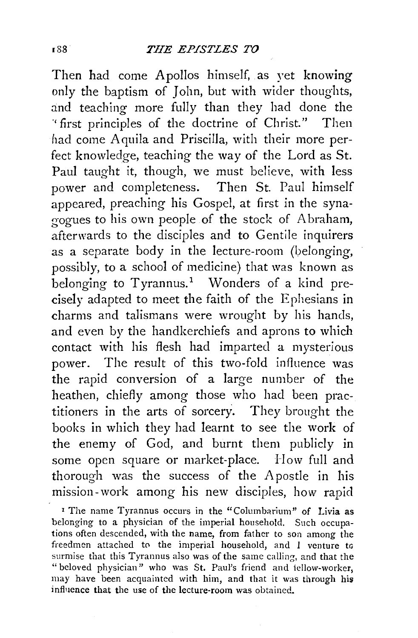Then had come Apollos himself, as yet knowing only the baptism of John, but with wider thoughts, and teaching more fully than they had done the ., first principles of the doctrine of Christ." Then had come Aquila and Priscilla, with their more perfect knowledge, teaching the way of the Lord as St. Paul taught it, though, we must believe, with less power and completeness. Then St. Paul himself appeared, preaching his Gospel, at first in the synagogues to his own people of the stock of A braham, afterwards to the disciples and to Gentile inquirers as a separate body in the lecture-room (belonging, possibly, to a school of medicine) that was known as belonging to Tyrannus.<sup>1</sup> Wonders of a kind precisely adapted to meet the faith of the Ephesians in charms and talismans were wrought by his hands, and even by the handkerchiefs and aprons to which contact with his flesh had imparted a mysterious power. The result of this two-fold influence was the rapid conversion of a large number of the heathen, chiefly among those who had been practitioners in the arts of sorcery. They brought the books in which they had learnt to see the work of the enemy of God, and burnt them publicly in some open square or market-place. How full and thorough was the success of the Apostle in his mission-work among his new disciples, how rapid

<sup>1</sup> The name Tyrannus occurs in the "Columbarium" of Livia as belonging to a physician of the imperial household. Such occupations often descended, with the name, from father to son among the freedmen attached to the imperial household, and I venture to surmise that this Tyrannus also was of the same calling, and that the "beloved physician" who was St. Paul's friend and iellow-worker, may have been acquainted with him, and that it was through his influence that the use of the lecture-room was obtained.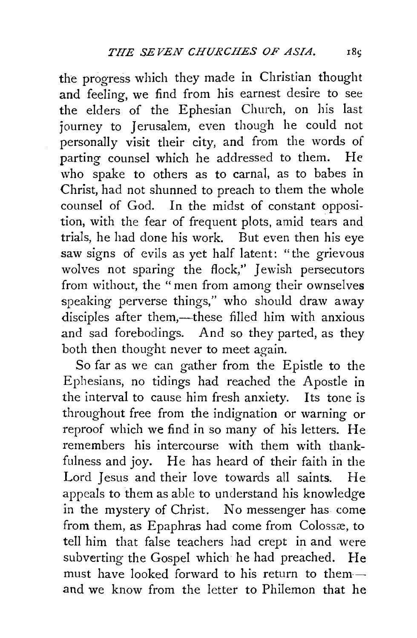the progress which they made in Christian thought and feeling, we find from his earnest desire to see the elders of the Ephesian Church, on his last journey to Jerusalem, even though he could not personally visit their city, and from the words of parting counsel which he addressed to them. He who spake to others as to carnal, as to babes in Christ, had not shunned to preach to them the whole counsel of God. In the midst of constant opposition, with the fear of frequent plots, amid tears and trials, he had done his work. But even then his eye saw signs of evils as yet half latent: "the grievous wolves not sparing the flock," Jewish persecutors from without, the "men from among their ownselves speaking perverse things," who should draw away disciples after them,—these filled him with anxious and sad forebodings. And so they parted, as they both then thought never to meet again.

So far as we can gather from the Epistle to the Ephesians, no tidings had reached the Apostle in the interval to cause him fresh anxiety. Its tone is throughout free from the indignation or warning or reproof which we find in so many of his letters. He remembers his intercourse with them with thankfulness and joy. He has heard of their faith in the Lord Jesus and their love towards all saints. He appeals to them as able to understand his knowledge in the mystery of Christ. No messenger has come from them, as Epaphras had come from Colossæ, to tell him that false teachers had crept in and were subverting the Gospel which he had preached. He must have looked forward to his return to themand we know from the letter to Philemon that he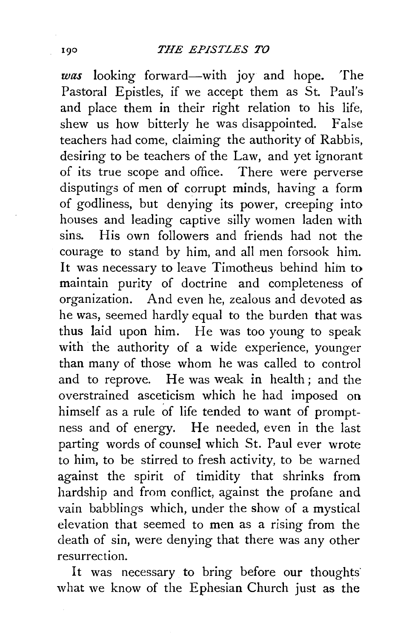was looking forward-with joy and hope. The Pastoral Epistles, if we accept them as St. Paul's and place them in their right relation to his life, shew us how bitterly he was disappointed. False teachers had come, claiming the authority of Rabbis, desiring to be teachers of the Law, and yet ignorant of its true scope and office. There were perverse disputings of men of corrupt minds, having a form of godliness, but denying its power, creeping into houses and leading captive silly women laden with sins. His own followers and friends had not the courage to stand by him, and all men forsook him. It was necessary to leave Timotheus behind him to maintain purity of doctrine and completeness of organization. And even he, zealous and devoted as he was, seemed hardly equal to the burden that was thus laid upon him. He was too young to speak with the authority of a wide experience, younger than many of those whom he was called to control and to reprove. He was weak in health; and the overstrained asceticism which he had imposed on himself as a rule of life tended to want of promptness and of energy. He needed, even in the last parting words of counsel which St. Paul ever wrote to him, to be stirred to fresh activity, to be warned against the spirit of timidity that shrinks from hardship and from conflict, against the profane and vain babblings which, under the show of a mystical elevation that seemed to men as a rising from the death of sin, were denying that there was any other resurrection.

It was necessary to bring before our thoughts what we know of the Ephesian Church just as the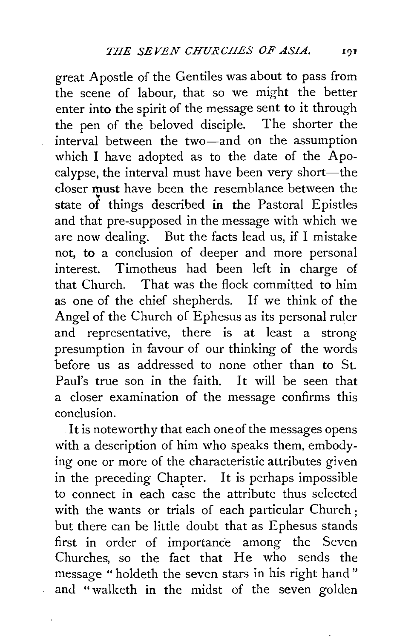great Apostle of the Gentiles was about to pass from the scene of labour, that so we might the better enter into the spirit of the message sent to it through the pen of the beloved disciple. The shorter the interval between the two-and on the assumption which I have adopted as to the date of the Apocalypse, the interval must have been very short-the closer must have been the resemblance between the state of things described in the Pastoral Epistles and that pre-supposed in the message with which we are now dealing. But the facts lead us, if I mistake not, to a conclusion of deeper and more personal interest. Timotheus had been left in charge of that Church. That was the flock committed to him as one of the chief shepherds. If we think of the Angel of the Church of Ephesus as its personal ruler and representative, there is at least a strong presumption in favour of our thinking of the words before us as addressed to none other than to St. Paul's true son in the faith. It will be seen that a closer examination of the message confirms this conclusion.

It is noteworthy that each one of the messages opens with a description of him who speaks them, embodying one or more of the characteristic attributes given in the preceding Chapter. It is perhaps impossible to connect in each case the attribute thus selected with the wants or trials of each particular Church; but there can be little doubt that as Ephesus stands first in order of importance among the Seven Churches, so the fact that He who sends the message " holdeth the seven stars in his right hand " and " walketh in the midst of the seven golden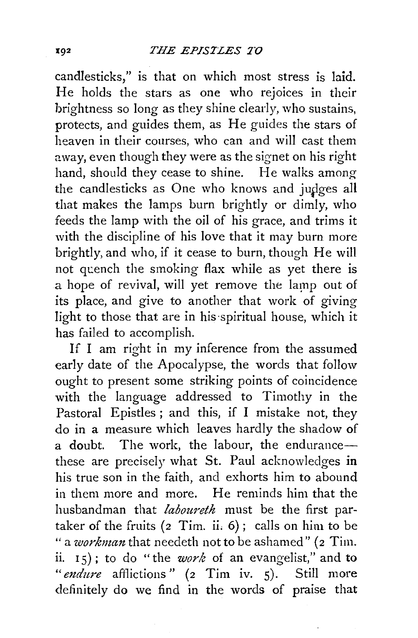candlesticks," is that on which most stress is laid. He holds the stars as one who rejoices in their brightness so long as they shine clearly, who sustains, protects, and guides them, as He guides the stars of heaven in their courses, who can and will cast them away, even though they were as the signet on his right hand, should they cease to shine. He walks among the candlesticks as One who knows and judges all that makes the lamps burn brightly or dimly, who feeds the lamp with the oil of his grace, and trims it with the discipline of his love that it may burn more brightly, and who, if it cease to burn, though He will not quench the smoking flax while as yet there is a hope of revival, will yet remove the lamp out of its place, and give to another that work of giving light to those that are in his spiritual house, which it has failed to accomplish.

If I am right in my inference from the assumed early date of the Apocalypse, the words that follow ought to present some striking points of coincidence with the language addressed to Timothy in the Pastoral Epistles; and this, if I mistake not, they do in a measure which leaves hardly the shadow of a doubt. The work, the labour, the endurancethese are precisely what St. Paul acknowledges in his true son in the faith, and exhorts him to abound in them more and more. He reminds him that the husbandman that *laboureth* must be the first partaker of the fruits  $(z$  Tim. ii.  $6)$ ; calls on him to be " a *workman* that needeth not to be ashamed" (2 Tim. ii. 1 5) ; to do "the *work* of an evangelist," and to "endure afflictions" (2 Tim iv. 5). Still more definitely do we find in the words of praise that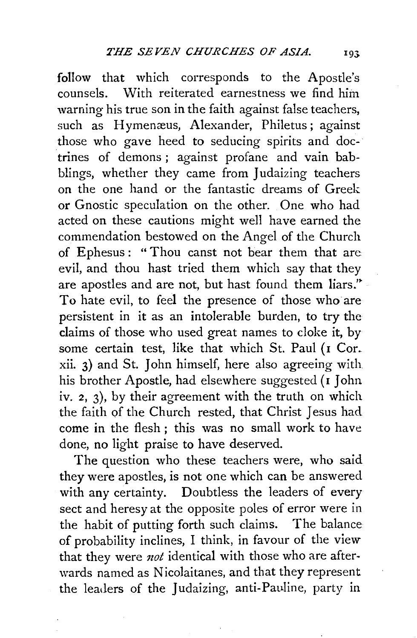follow that which corresponds to the Apostle's counsels. With reiterated earnestness we find him warning his true son in the faith against false teachers, such as Hymenæus, Alexander, Philetus; against those who gave heed to seducing spirits and doe-· trines of demons ; against profane and vain babblings, whether they came from Judaizing teachers on the one hand or the fantastic dreams of Greek or Gnostic speculation on the other. One who had acted on these cautions might well have earned the commendation bestowed on the Angel of the Church of Ephesus: "Thou canst not bear them that are evil, and thou hast tried them which say that they are apostles and are not, but hast found them liars." To hate evil, to feel the presence of those who are persistent in it as an intolerable burden, to try the claims of those who used great names to cloke it, by some certain test, like that which St. Paul (I Cor. xii. 3) and St. John himself, here also agreeing with his brother Apostle, had elsewhere suggested (1 John iv.  $2$ ,  $3$ ), by their agreement with the truth on which the faith of the Church rested, that Christ Jesus had come in the flesh; this was no small work to have done, no light praise to have deserved.

The question who these teachers were, who said they were apostles, is not one which can be answered with any certainty. Doubtless the leaders of every sect and heresy at the opposite poles of error were in the habit of putting forth such claims. The balance of probability inclines, I think, in favour of the view that they were *not* identical with those who are afterwards named as Nicolaitanes, and that they represent the leaders of the Judaizing, anti-Pauline, party in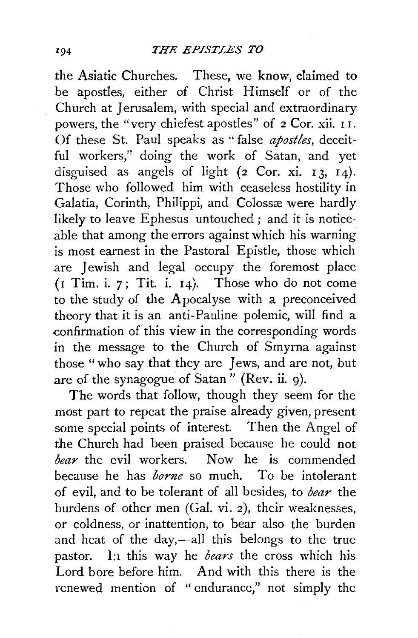the Asiatic Churches. These, we know, claimed to be apostles, either of Christ Himself or of the Church at Jerusalem, with special and extraordinary powers, the "very chiefest apostles" of 2 Cor. xii. 1 I. Of these St. Paul speaks as " false *apostles,* deceitful workers," doing the work of Satan, and yet disguised as angels of light  $(2 \text{Cor. xi. } 13, 14)$ . Those who followed him with ceaseless hostility in Galatia, Corinth, Philippi, and Colossæ were hardly likely to leave Ephesus untouched; and it is noticeable that among the errors against which his warning is most earnest in the Pastoral Epistle, those which are Jewish and legal occupy the foremost place  $(r$  Tim. i.  $7$ ; Tit. i.  $14$ ). Those who do not come to the study of the Apocalyse with a preconceived theory that it is an anti-Pauline polemic, will find a confirmation of this view in the corresponding words in the message to the Church of Smyrna against those "who say that they are Jews, and are not, but are of the synagogue of Satan" (Rev. ii. 9).

The words that follow, though they seem for the most part to repeat the praise already given, present some special points of interest. Then the Angel of the Church had been praised because he could not *bear* the evil workers. Now he is commended because he has *borne* so much. To be intolerant .of evil, and to be tolerant of all besides, to *bear* the burdens of other men (Gal. vi. 2), their weaknesses, or coldness, or inattention, to bear also the burden and heat of the day,—all this belongs to the true pastor. In this way he *bears* the cross which his Lord bore before him. And with this there is the renewed mention of " endurance," not simply the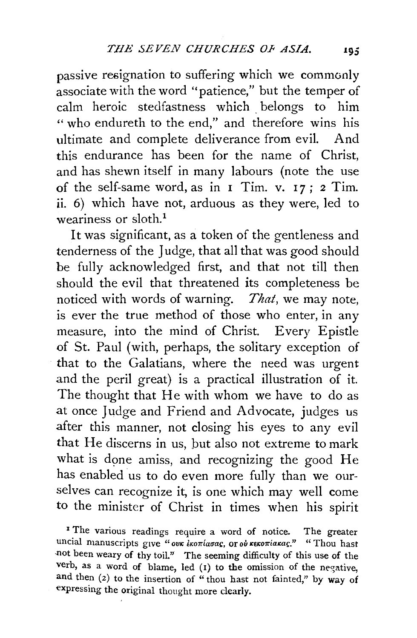passive resignation to suffering which we commonly associate with the word "patience," but the temper of calm heroic stedfastness which belongs to him " who endureth to the end," and therefore wins his ultimate and complete deliverance from evil. And this endurance has been for the name of Christ, and has shewn itself in many labours (note the use of the self-same word, as in  $I$  Tim. v.  $17$ ;  $2$  Tim. ii. 6) which have not, arduous as they were, led to weariness or sloth.<sup>1</sup>

It was significant, as a token of the gentleness and tenderness of the Judge, that all that was good should be fully acknowledged first, and that not till then should the evil that threatened its completeness be noticed with words of warning. *That,* we may note, is ever the true method of those who enter, in any measure, into the mind of Christ. Every Epistle of St. Paul (with, perhaps, the solitary exception of that to the Galatians, where the need was urgent and the peril great) is a practical illustration of it. The thought that He with whom we have to do as at once Judge and Friend and Advocate, judges us after this manner, not closing his eyes to any evil that He discerns in us, but also not extreme to mark what is done amiss, and recognizing the good He has enabled us to do even more fully than we ourselves can recognize it, is one which may well come to the minister of Christ in times when his spirit

<sup>1</sup> The various readings require a word of notice. The greater uncial manuscripts give "ovk *ikoniasac*, or ov rekoniakac." " Thou hast -not been weary of thy toil." The seeming difficulty of this use of the verb, as a word of blame, led  $(1)$  to the omission of the negative, and then (2) to the insertion of "thou hast not fainted," by way of expressing the original thought more clearly.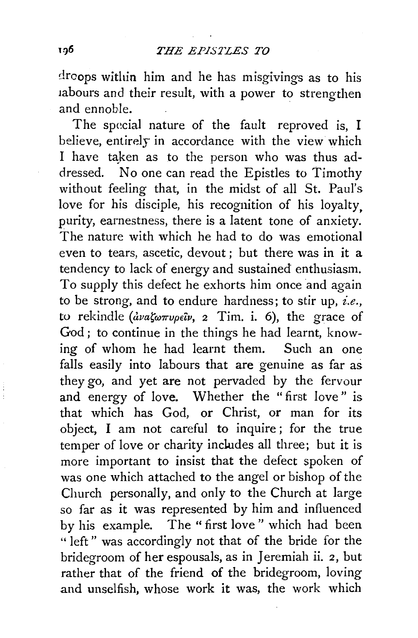droops within him and he has misgivings as to his labours and their result, with a power to strengthen and ennoble. .

The special nature of the fault reproved is, I believe, entirely in accordance with the view which I have taken as to the person who was thus addressed. No one can read the Epistles to Timothy without feeling that, in the midst of all St. Paul's love for his disciple, his recognition of his loyalty, purity, earnestness, there is a latent tone of anxiety. The nature with which he had to do was emotional even to tears, ascetic, devout ; but there was in it a tendency to lack of energy and sustained enthusiasm. To supply this defect he exhorts him once and again to be strong, and to endure hardness; to stir up, *i.e.,*  to rekindle *(avaζωπνρείν*, 2 Tim. i. 6), the grace of God; to continue in the things he had learnt, knowing of whom he had learnt them. Such an one falls easily into labours that are genuine as far as they go, and yet are not pervaded by the fervour and energy of love. Whether the "first love" is that which has God, or Christ, or man for its object, I am not careful to inquire ; for the true temper of love or charity includes all three; but it is more important to insist that the defect spoken of was one which attached to the angel or bishop of the Church personally, and only to the Church at large so far as it was represented by him and influenced by his example. The " first love " which had been " left" was accordingly not that of the bride for the bridegroom of her espousals, as in Jeremiah ii. 2, but rather that of the friend of the bridegroom, loving and unselfish, whose work it was, the work which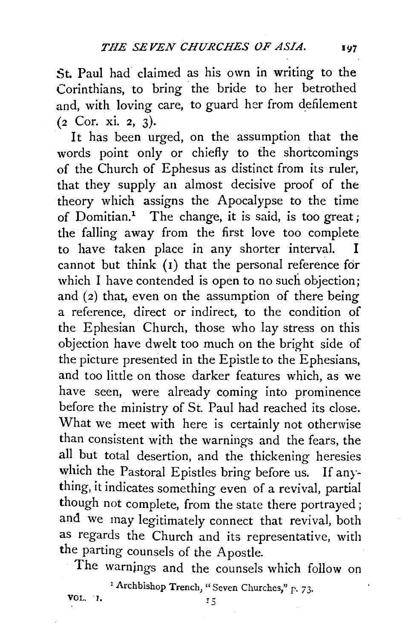St. Paul had claimed as his own in writing to the Corinthians, to bring the bride to her betrothed and, with loving care, to guard her from defilement (2 Cor. xi. 2, 3).

It has been urged, on the assumption that the words point only or chiefly to the shortcomings of the Church of Ephesus as distinct from its ruler, that they supply an almost decisive proof of the theory which assigns the Apocalypse to the time of Domitian.1 The change, it is said, is too great; the falling away from the first love too complete to have taken place in any shorter interval. cannot but think  $(1)$  that the personal reference for which I have contended is open to no such objection; and (2) that, even on the assumption of there being a reference, direct or indirect, to the condition of the Ephesian Church, those who lay stress on this objection have dwelt too much on the bright side of the picture presented in the Epistle to the Ephesians, and too little on those darker features which, as we have seen, were already coming into prominence before the ministry of St. Paul had reached its close. What we meet with here is certainly not otherwise than consistent with the warnings and the fears, the all but total desertion, and the thickening heresies which the Pastoral Epistles bring before us. If any· thing, it indicates something even of a revival, partial though not complete, from the state there portrayed ; and we may legitimately connect that revival, both as regards the Church and its representative, with the parting counsels of the Apostle.

The warnjngs and the counsels which follow on

<sup>1</sup> Archbishop Trench, "Seven Churches," p. 73.

**VOL.** 1.  $15$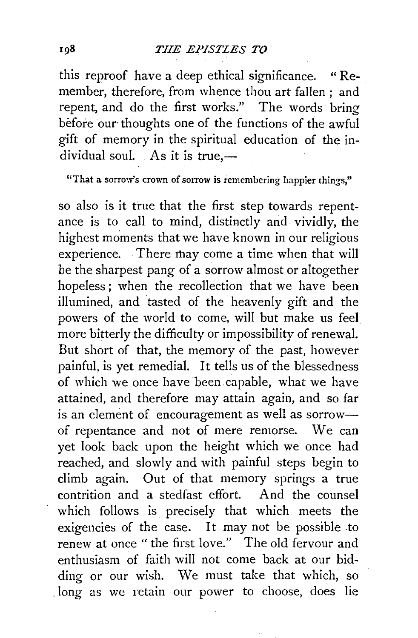this reproof have a deep ethical significance. "Remember, therefore, from whence thou art fallen ; and repent, and do the first works." The words bring before our thoughts one of the functions of the awful gift of memory in the spiritual education of the individual soul. As it is true, $-$ 

"That a sorrow's crown of sorrow is remembering happier things,"

so also is it true that the first step towards repentance is to call to mind, distinctly and vividly, the highest moments that we have known in our religious experience. There may come a time when that will be the sharpest pang of a sorrow almost or altogether hopeless ; when the recollection that we have been illumined, and tasted of the heavenly gift and the powers of the world to come, will but make us feel more bitterly the difficulty or impossibility of renewal. But short of that, the memory of the past, however painful, is yet remedial. It tells us of the blessedness of which we once have been capable, what we have attained, and therefore may attain again, and so far is an element of encouragement as well as sorrowof repentance and not of mere remorse. We can yet look back upon the height which we once had reached, and slowly and with painful steps begin to climb again. Out of that memory springs a true contrition and a stedfast effort. And the counsel which follows is precisely that which meets the exigencies of the case. It may not be possible .to renew at once "the first love." The old fervour and enthusiasm of faith will not come back at our bidding or our wish. We must take that which, so . long as we retain our power to choose, does lie

198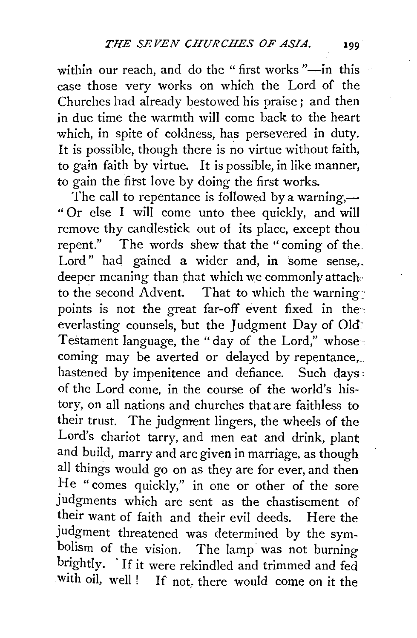within our reach, and do the "first works"-in this case those very works on which the Lord of the Churches had already bestowed his praise; and then in due time the warmth will come back to the heart which, in spite of coldness, has persevered in duty. It is possible, though there is no virtue without faith, to gain faith by virtue. It is possible, in like manner, to gain the first love by doing the first works.

The call to repentance is followed by a warning,— " Or else I will come unto thee quickly, and will remove thy candlestick out of its place, except thou repent." The words shew that the "coming of the Lord" had gained a wider and, in some sense, deeper meaning than that which we commonly attaches to the second Advent. That to which the warning • points is not the great far-off event fixed in theeverlasting counsels, but the Judgment Day of Old' Testament language, the "day of the Lord," whose coming may be averted or delayed by repentance,... hastened by impenitence and defiance. Such days: of the Lord come, in the course of the world's history, on all nations and churches that are faithless to their trust. The judgment lingers, the wheels of the Lord's chariot tarry, and men eat and drink, plant and build, marry and are given in marriage, as though all things would go on as they are for ever, and then He "comes quickly," in one or other of the sore judgments which are sent as the chastisement of their want of faith and their evil deeds. Here the judgment threatened was determined by the symbolism of the vision. The lamp was not burning brightly. 'If it were rekindled and trimmed and fed with oil, well ! If not, there would come on it the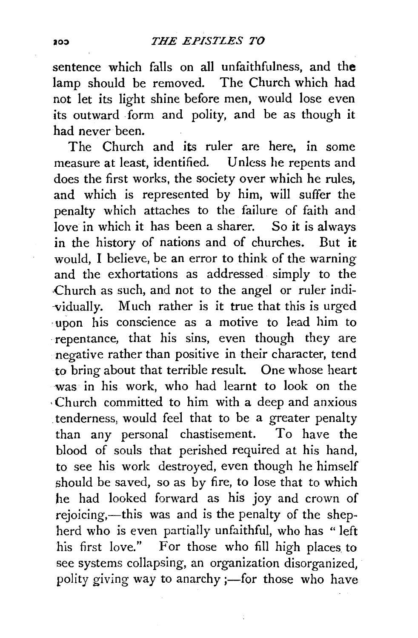sentence which falls on all unfaithfulness, and **the**  lamp should be removed. The Church which had not let its light shine before men, would lose even its outward form and polity, and be as though it had never been.

The Church and its ruler are here, in some measure at least, identified. Unless he repents and does the first works, the society over which he rules, and which is represented by him, will suffer the penalty which attaches to the failure of faith and love in which it has been a sharer. So it is always in the history of nations and of churches. But it would, I believe, be an error to think of the warning and the exhortations as addressed simply to the ·Church as such, and not to the angel or ruler indi- -vidually. Much rather is it true that this is urged ·upon his conscience as a motive to lead him to ·repentance, that his sins, even though they are negative rather than positive in their character, tend to bring about that terrible result. One whose heart was in his work, who had learnt to look on the , Church committed to him with a deep and anxious . tenderness, would feel that to be a greater penalty than any personal chastisement. To have the blood of souls that perished required at his hand, to see his work destroyed, even though he himself should be saved, so as by fire, to lose that to which he had looked forward as his joy and crown of rejoicing,—this was and is the penalty of the shepherd who is even partially unfaithful, who has "left his first love." For those who fill high places to see systems collapsing, an organization disorganized, polity giving way to anarchy ;- for those who have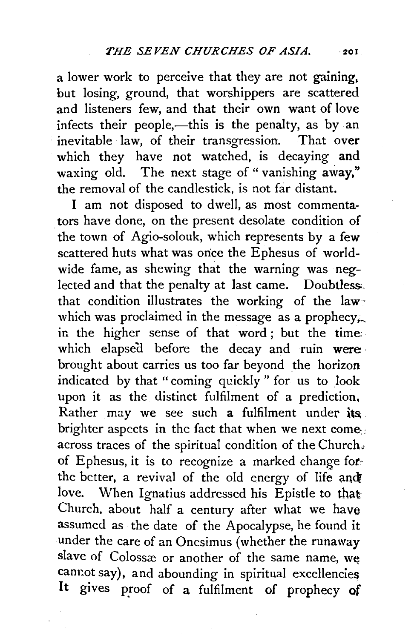a lower work to perceive that they are not gaining, but losing, ground, that worshippers are scattered and listeners few, and that their own want of love infects their people,—this is the penalty, as by an inevitable law, of their transgression. That over which they have not watched, is decaying and waxing old. The next stage of "vanishing away," the removal of the candlestick, is not far distant.

I am not disposed to dwell, as most commentators have done, on the present desolate condition of the town of Agio-solouk, which represents by a few scattered huts what was once the Ephesus of worldwide fame, as shewing that the warning was neglected and that the penalty at last came. Doubtless. that condition illustrates the working of the law which was proclaimed in the message as a prophecy, in the higher sense of that word ; but the time which elapsed before the decay and ruin were. brought about carries us too far beyond the horizon indicated by that "coming quickly" for us to look upon it as the distinct fulfilment of a prediction, Rather may we see such a fulfilment under its. brighter aspects in the fact that when we next *come·:*  across traces of the spiritual condition of the Church; of Ephesus, it is to recognize a marked change forthe better, a revival of the old energy of life and love. When Ignatius addressed his Epistle to that Church, about half a century after what we have assumed as the date of the Apocalypse, he found it under the care of an Onesimus (whether the runaway slave of Colossæ or another of the same name, we cannot say), and abounding in spiritual excellencies It gives proof of a fulfilment of prophecy of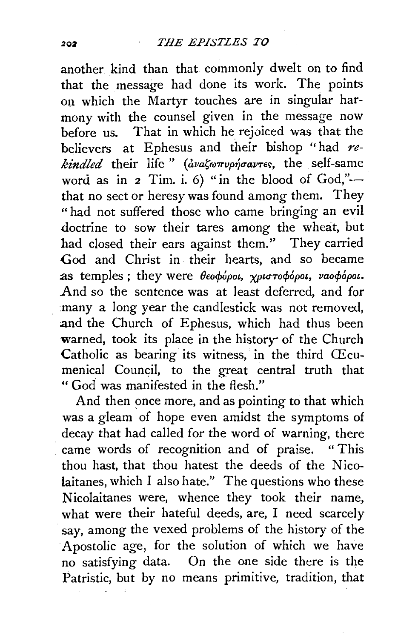another kind than that commonly dwelt on to find that the message had done its work. The points on which the Martyr touches are in singular harmony with the counsel given in the message now before us. That in which he rejoiced was that the believers at Ephesus and their bishop "had *re*kindled their life " (avaζωπυρήσαντες, the self-same word as in  $2$  Tim. i. 6) " in the blood of God,"that no sect or heresy was found among them. They "had not suffered those who came bringing an evil doctrine to sow their tares among the wheat, but had closed their ears against them.'' They carried God and Christ in their hearts, and so became as temples; they were  $\theta$ εοφόροι, χριστοφόροι, ναοφόροι. And so the sentence was at least deferred, and for :many a long year the candlestick was not removed, and the Church of Ephesus, which had thus been warned, took its place in the history of the Church Catholic as bearing its witness, in the third Œcumenical Council, to the great central truth that "God was manifested in the flesh."

And then once more, and as pointing to that which was a gleam of hope even amidst the symptoms of decay that had called for the word of warning, there came words of recognition and of praise. "This thou hast, that thou hatest the deeds of the Nicolaitanes, which I also hate." The questions who these Nicolaitanes were, whence they took their name, what were their hateful deeds, are, I need scarcely say, among the vexed problems of the history of the Apostolic age, for the solution of which we have no satisfying data. On the one side there is the Patristic, but by no means primitive, tradition, that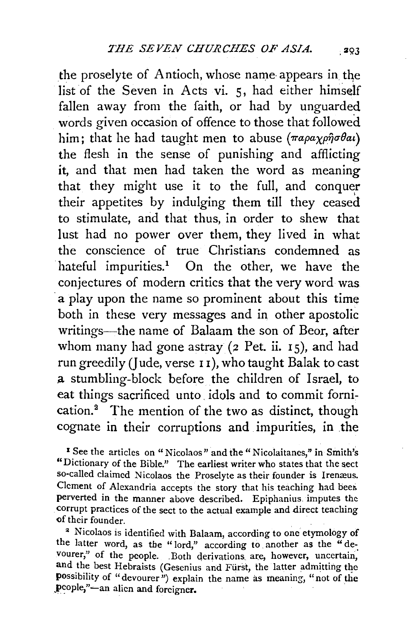the proselyte of Antioch, whose name appears in the list of the Seven in Acts vi. 5, had either himself fallen away from the faith, or had by unguarded words given occasion of offence to those that followed him; that he had taught men to abuse  $(\pi a \rho a \chi \rho \hat{\eta} \sigma \theta a \iota)$ the flesh in the sense of punishing and afflicting it, and that men had taken the word as meaning that they might use it to the full, and conquer their appetites by indulging them till they ceased to stimulate, and that thus, in order to shew that lust had no power over them, they lived in what the conscience of true Christians condemned as hateful impurities.<sup>1</sup> On the other, we have the conjectures of modern critics that the very word was a play upon the name so prominent about this time both in these very messages and in other apostolic writings-the name of Balaam the son of Beor, after whom many had gone astray  $(z$  Pet. ii.  $15$ ), and had run greedily (Jude, verse II), who taught Balak to cast .a stumbling-block before the children of Israel, to eat things sacrificed unto. idols and to commit fornication.<sup>2</sup> The mention of the two as distinct, though cognate in their corruptions and impurities, in the

1 See the articles on "Nicolaos" and the" Nicolaitanes," in Smith's "Dictionary of the Bible." The earliest writer who states that the sect so-called claimed Nicolaos the Proselyte as their founder is Irenæus. Clement of Alexandria accepts the story that histeaching had beer. perverted in the manner above described. Epiphanius. imputes the corrupt practices of the sect to the actual example and direct teaching of their founder.

<sup>2</sup> Nicolaos is identified with Balaam, according to one etymology of the latter word, as the "lord," according to another as the "devourer," of the people. .Both derivations. are, however, uncertain, and the best Hebraists (Gesenius and Fiirst, the latter admitting the possibility of "devourer") explain the name as meaning, "not of the pcople,"-an alien and foreigner.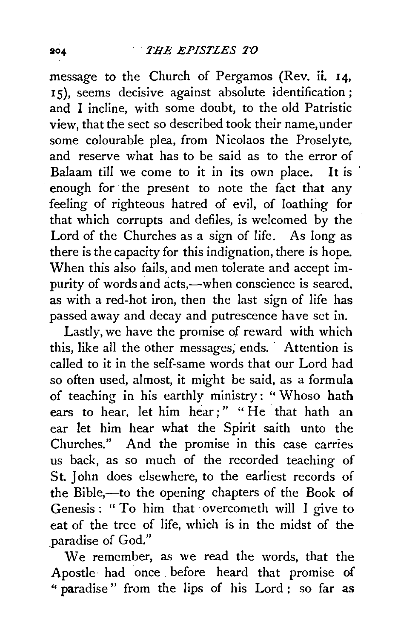message to the Church of Pergamos (Rev. ii. 14, <sup>1</sup>5), seems decisive against absolute identification ; and I incline, with some doubt, to the old Patristic view, that the sect so described took their name, under some colourable plea, from Nicolaos the Proselyte, and reserve what has to be said as to the error of Balaam till we come to it in its own place. It is enough for the present to note the fact that any feeling of righteous hatred of evil, of loathing for that which corrupts and defiles, is welcomed by the Lord of the Churches as a sign of life. As long as there is the capacity for this indignation, there is hope. When this also fails, and men tolerate and accept impurity of words and acts,—when conscience is seared. as with a red-hot iron, then the last sign of life has passed away and decay and putrescence have set in.

Lastly, we have the promise of reward with which this, like all the other messages; ends. - Attention is called to it in the self-same words that our Lord had so often used, almost, it might be said, as a formula of teaching in his earthly ministry: " Whoso hath ears to hear, let him hear;" "He that hath an ear let him hear what the Spirit saith unto the Churches." And the promise in this case carries us back, as so much of the recorded teaching of St. John does elsewhere, to the earliest records of the Bible,-to the opening chapters of the Book of Genesis: "To him that overcometh will I give to eat of the tree of life, which is in the midst of the paradise of God."

We remember, as we read the words, that the Apostle· had once . before heard that promise of " paradise " from the lips of his Lord : so far as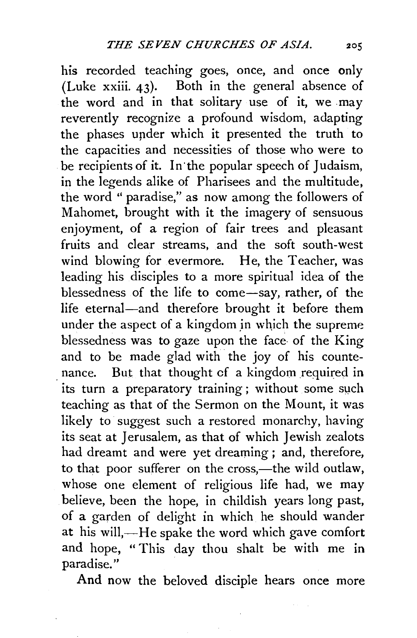his recorded teaching goes, once, and once only (Luke xxiii. 43). Both in the general absence of the word and in that solitary use of it, we may reverently recognize a profound wisdom, adapting the phases upder which it presented the truth to the capacities and necessities of those who were to be recipients of it. In the popular speech of Judaism, in the legends alike of Pharisees and the multitude, the word " paradise," as now among the followers of Mahomet, brought with it the imagery of sensuous enjoyment, of a region of fair trees and pleasant fruits and clear streams, and the soft south-west wind blowing for evermore. He, the Teacher, was leading his disciples to a more spiritual idea of the blessedness of the life to come-say, rather, of the life eternal-and therefore brought it before them under the aspect of a kingdom jn which the supreme blessedness was to gaze upon the face of the King and to be made glad with the joy of his countenance. But that thought of a kingdom required in its turn a preparatory training; without some such teaching as that of the Sermon on the Mount, it was likely to suggest such a restored monarchy, having its seat at Jerusalem, as that of which Jewish zealots had dreamt and were yet dreaming ; and, therefore, to that poor sufferer on the cross,—the wild outlaw, whose one element of religious life had, we may believe, been the hope, in childish years long past, of a garden of delight in which he should wander at his will,-He spake the word which gave comfort and hope, " This day thou shalt be with me in paradise."

And now the beloved disciple hears once more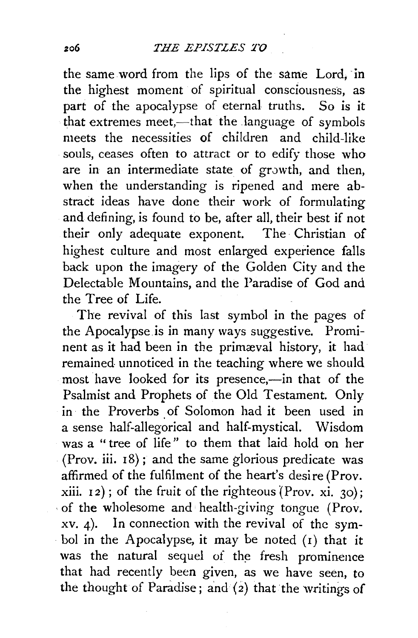the same word from the lips of the same Lord, in the highest moment of spiritual consciousness, as part of the apocalypse of eternal truths. So is it that extremes meet,—that the language of symbols meets the necessities of children and child-like souls, ceases often to attract or to edify those who are in an intermediate state of growth, and then, when the understanding is ripened and mere abstract ideas have done their work of formulating and defining, is found to be, after all, their best if not their only adequate exponent. The Christian of highest culture and most enlarged experience falls back upon the imagery of the Golden City and the Delectable Mountains, and the Paradise of God and the Tree of Life.

The revival of this last symbol in the pages of the Apocalypse is in many ways suggestive. Prominent as it had been in the primæval history, it had remained unnoticed in the teaching where we should most have looked for its presence,-in that of the Psalmist and Prophets of the Old Testament. Only in the Proverbs of Solomon had it been used in a sense half-allegorical and half-mystical. Wisdom was a " tree of life" to them that laid hold on her (Prov. iii.  $18$ ); and the same glorious predicate was affirmed of the fulfilment of the heart's desire (Prov. xiii.  $12$ ); of the fruit of the righteous (Prov. xi. 30); · of the wholesome and health-giving tongue (Prov. xv. 4). In connection with the revival of the symbol in the Apocalypse, it may be noted (1) that it was the natural sequel of the fresh prominence that had recently been given, as we have seen, to the thought of Paradise; and  $(2)$  that the writings of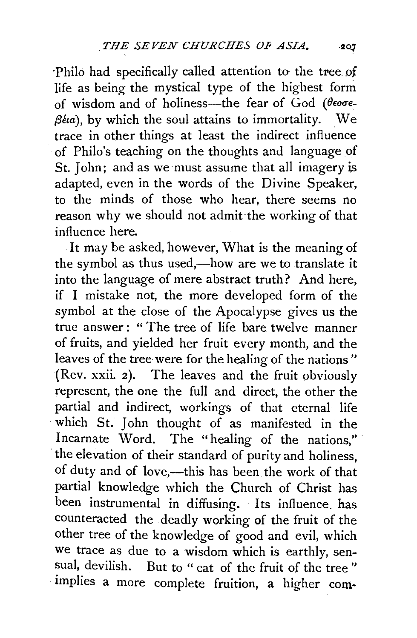Philo had specifically called attention to the tree of life as being the mystical type of the highest form of wisdom and of holiness-the fear of God ( $\theta$ eo**o**e- $\beta$ <sup>*(ia)*</sup>, by which the soul attains to immortality. We trace in other things at least the indirect influence of Philo's teaching on the thoughts and language of St. John; and as we must assume that all imagery is adapted, even in the words of the Divine Speaker, to the minds of those who hear, there seems no reason why we should not admit·the working of that influence here.

. It may be asked, however, What is the meaning of the symbol as thus used,-how are we to translate it into the language of mere abstract truth? And here, if I mistake not, the more developed form of the symbol at the close of the Apocalypse gives us the true answer: " The tree of life bare twelve manner of fruits, and yielded her fruit every month, and the leaves of the tree were for the healing of the nations" (Rev. xxii. 2). The leaves and the fruit obviously represent, the one the full and direct, the other the partial and indirect, workings of that eternal life which St. John thought of as manifested in the Incarnate Word. The "healing of the nations," the elevation of their standard of purity and holiness, of duty and of love,---this has been the work of that partial knowledge which the Church of Christ has been instrumental in diffusing. Its influence. has counteracted the deadly working of the fruit of the other tree of the knowledge of good and evil, which we trace as due to a wisdom which is earthly, sensual, devilish. But to " eat of the fruit of the tree " implies a more complete fruition, a higher com-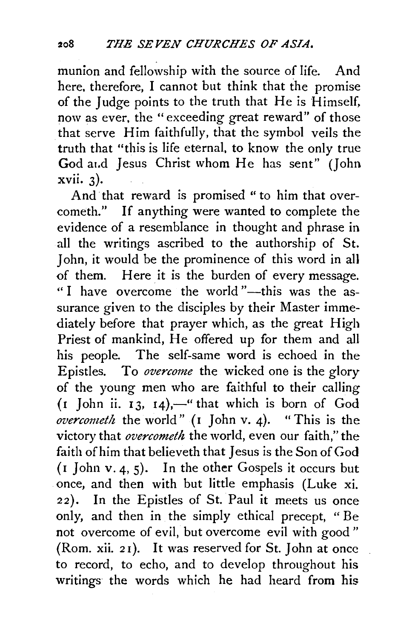munion and fellowship with the source of life. And here, therefore, I cannot but think that the promise of the Judge points to the truth that He is Himself, now as ever, the "exceeding great reward" of those that serve Him faithfully, that the symbol veils the truth that "this is life eternal, to know the only true God at.d Jesus Christ whom He has sent" (John xvii. 3).

And that reward is promised " to him that overcometh." If anything were wanted to complete the evidence of a resemblance in thought and phrase in all the writings ascribed to the authorship of St. John, it would be the prominence of this word in all of them. Here it is the burden of every message. "I have overcome the world "--this was the assurance given to the disciples by their Master immediately before that prayer which, as the great High Priest of mankind, He offered up for them and all his people. The self-same word is echoed in the Epistles. To *overcome* the wicked one is the glory of the young men who are faithful to their calling  $(1)$  John ii. 13, 14),—" that which is born of God *overcometh* the world" (I John v. 4). "This is the victory that *overcometh* the world, even our faith," the faith of him that believeth that Jesus is the Son of God (I John v. 4, 5). In the other Gospels it occurs but once, and then with but little emphasis (Luke xi. 22). In the Epistles of St. Paul it meets us once only, and then in the simply ethical precept, " Be not overcome of evil, but overcome evil with good " (Rom. xii. 2 I). It was reserved for St. John at once to record, to echo, and to develop throughout his writings the words which he had heard from his